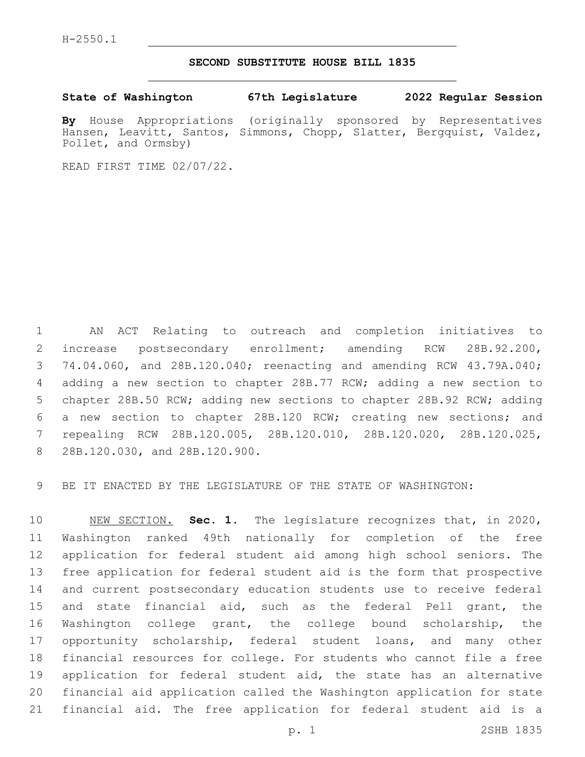## **SECOND SUBSTITUTE HOUSE BILL 1835**

**State of Washington 67th Legislature 2022 Regular Session**

**By** House Appropriations (originally sponsored by Representatives Hansen, Leavitt, Santos, Simmons, Chopp, Slatter, Bergquist, Valdez, Pollet, and Ormsby)

READ FIRST TIME 02/07/22.

 AN ACT Relating to outreach and completion initiatives to increase postsecondary enrollment; amending RCW 28B.92.200, 74.04.060, and 28B.120.040; reenacting and amending RCW 43.79A.040; adding a new section to chapter 28B.77 RCW; adding a new section to chapter 28B.50 RCW; adding new sections to chapter 28B.92 RCW; adding a new section to chapter 28B.120 RCW; creating new sections; and repealing RCW 28B.120.005, 28B.120.010, 28B.120.020, 28B.120.025, 8 28B.120.030, and 28B.120.900.

BE IT ENACTED BY THE LEGISLATURE OF THE STATE OF WASHINGTON:

 NEW SECTION. **Sec. 1.** The legislature recognizes that, in 2020, Washington ranked 49th nationally for completion of the free application for federal student aid among high school seniors. The free application for federal student aid is the form that prospective and current postsecondary education students use to receive federal and state financial aid, such as the federal Pell grant, the Washington college grant, the college bound scholarship, the 17 opportunity scholarship, federal student loans, and many other financial resources for college. For students who cannot file a free application for federal student aid, the state has an alternative financial aid application called the Washington application for state financial aid. The free application for federal student aid is a

p. 1 2SHB 1835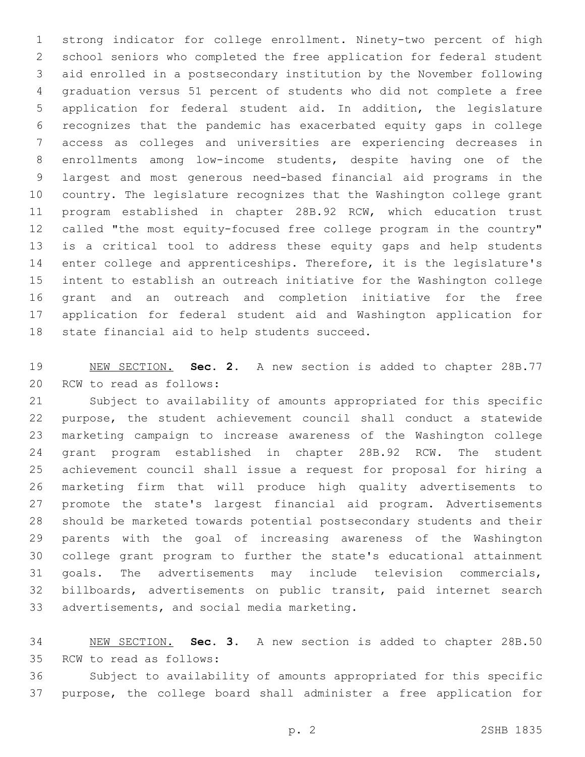strong indicator for college enrollment. Ninety-two percent of high school seniors who completed the free application for federal student aid enrolled in a postsecondary institution by the November following graduation versus 51 percent of students who did not complete a free application for federal student aid. In addition, the legislature recognizes that the pandemic has exacerbated equity gaps in college access as colleges and universities are experiencing decreases in enrollments among low-income students, despite having one of the largest and most generous need-based financial aid programs in the country. The legislature recognizes that the Washington college grant program established in chapter 28B.92 RCW, which education trust called "the most equity-focused free college program in the country" is a critical tool to address these equity gaps and help students enter college and apprenticeships. Therefore, it is the legislature's intent to establish an outreach initiative for the Washington college grant and an outreach and completion initiative for the free application for federal student aid and Washington application for 18 state financial aid to help students succeed.

 NEW SECTION. **Sec. 2.** A new section is added to chapter 28B.77 20 RCW to read as follows:

 Subject to availability of amounts appropriated for this specific purpose, the student achievement council shall conduct a statewide marketing campaign to increase awareness of the Washington college grant program established in chapter 28B.92 RCW. The student achievement council shall issue a request for proposal for hiring a marketing firm that will produce high quality advertisements to promote the state's largest financial aid program. Advertisements should be marketed towards potential postsecondary students and their parents with the goal of increasing awareness of the Washington college grant program to further the state's educational attainment goals. The advertisements may include television commercials, billboards, advertisements on public transit, paid internet search 33 advertisements, and social media marketing.

 NEW SECTION. **Sec. 3.** A new section is added to chapter 28B.50 35 RCW to read as follows:

 Subject to availability of amounts appropriated for this specific purpose, the college board shall administer a free application for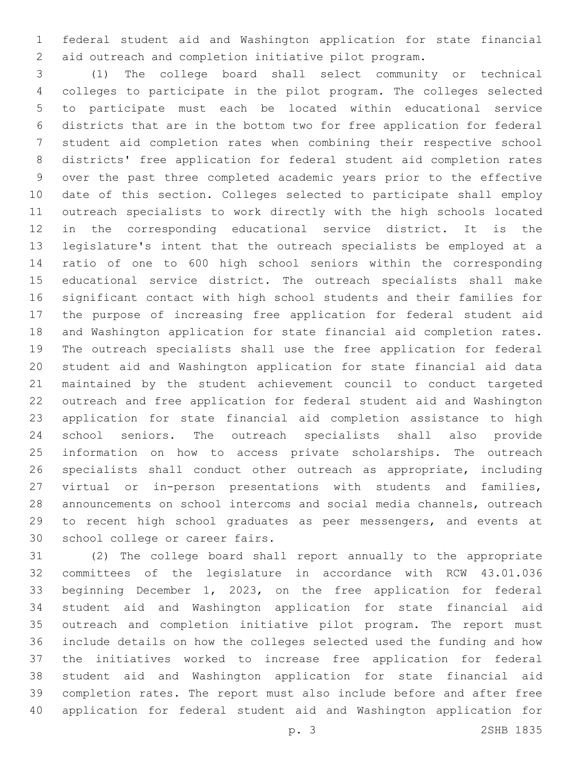federal student aid and Washington application for state financial aid outreach and completion initiative pilot program.

 (1) The college board shall select community or technical colleges to participate in the pilot program. The colleges selected to participate must each be located within educational service districts that are in the bottom two for free application for federal student aid completion rates when combining their respective school districts' free application for federal student aid completion rates over the past three completed academic years prior to the effective date of this section. Colleges selected to participate shall employ outreach specialists to work directly with the high schools located in the corresponding educational service district. It is the legislature's intent that the outreach specialists be employed at a ratio of one to 600 high school seniors within the corresponding educational service district. The outreach specialists shall make significant contact with high school students and their families for the purpose of increasing free application for federal student aid and Washington application for state financial aid completion rates. The outreach specialists shall use the free application for federal student aid and Washington application for state financial aid data maintained by the student achievement council to conduct targeted outreach and free application for federal student aid and Washington application for state financial aid completion assistance to high school seniors. The outreach specialists shall also provide information on how to access private scholarships. The outreach specialists shall conduct other outreach as appropriate, including virtual or in-person presentations with students and families, announcements on school intercoms and social media channels, outreach to recent high school graduates as peer messengers, and events at 30 school college or career fairs.

 (2) The college board shall report annually to the appropriate committees of the legislature in accordance with RCW 43.01.036 beginning December 1, 2023, on the free application for federal student aid and Washington application for state financial aid outreach and completion initiative pilot program. The report must include details on how the colleges selected used the funding and how the initiatives worked to increase free application for federal student aid and Washington application for state financial aid completion rates. The report must also include before and after free application for federal student aid and Washington application for

p. 3 2SHB 1835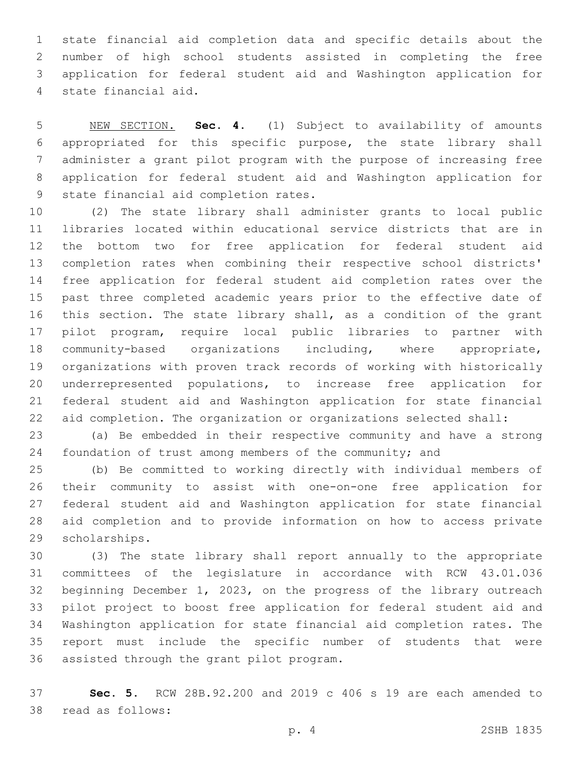state financial aid completion data and specific details about the number of high school students assisted in completing the free application for federal student aid and Washington application for state financial aid.4

 NEW SECTION. **Sec. 4.** (1) Subject to availability of amounts appropriated for this specific purpose, the state library shall administer a grant pilot program with the purpose of increasing free application for federal student aid and Washington application for state financial aid completion rates.

 (2) The state library shall administer grants to local public libraries located within educational service districts that are in the bottom two for free application for federal student aid completion rates when combining their respective school districts' free application for federal student aid completion rates over the past three completed academic years prior to the effective date of this section. The state library shall, as a condition of the grant pilot program, require local public libraries to partner with community-based organizations including, where appropriate, organizations with proven track records of working with historically underrepresented populations, to increase free application for federal student aid and Washington application for state financial aid completion. The organization or organizations selected shall:

 (a) Be embedded in their respective community and have a strong foundation of trust among members of the community; and

 (b) Be committed to working directly with individual members of their community to assist with one-on-one free application for federal student aid and Washington application for state financial aid completion and to provide information on how to access private 29 scholarships.

 (3) The state library shall report annually to the appropriate committees of the legislature in accordance with RCW 43.01.036 beginning December 1, 2023, on the progress of the library outreach pilot project to boost free application for federal student aid and Washington application for state financial aid completion rates. The report must include the specific number of students that were 36 assisted through the grant pilot program.

 **Sec. 5.** RCW 28B.92.200 and 2019 c 406 s 19 are each amended to 38 read as follows: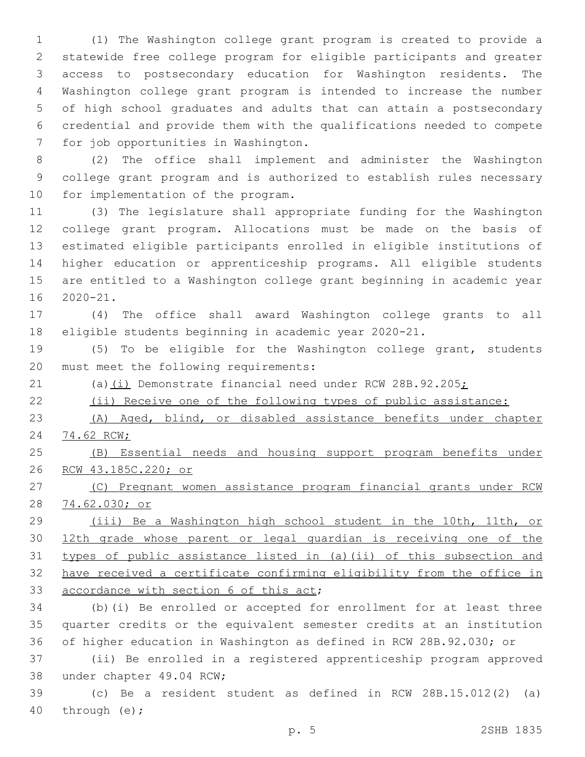(1) The Washington college grant program is created to provide a statewide free college program for eligible participants and greater access to postsecondary education for Washington residents. The Washington college grant program is intended to increase the number of high school graduates and adults that can attain a postsecondary credential and provide them with the qualifications needed to compete 7 for job opportunities in Washington.

 (2) The office shall implement and administer the Washington college grant program and is authorized to establish rules necessary 10 for implementation of the program.

 (3) The legislature shall appropriate funding for the Washington college grant program. Allocations must be made on the basis of estimated eligible participants enrolled in eligible institutions of higher education or apprenticeship programs. All eligible students are entitled to a Washington college grant beginning in academic year  $2020-21$ .

 (4) The office shall award Washington college grants to all eligible students beginning in academic year 2020-21.

 (5) To be eligible for the Washington college grant, students 20 must meet the following requirements:

21 (a)(i) Demonstrate financial need under RCW 28B.92.205;

(ii) Receive one of the following types of public assistance:

 (A) Aged, blind, or disabled assistance benefits under chapter 74.62 RCW;

 (B) Essential needs and housing support program benefits under RCW 43.185C.220; or

 (C) Pregnant women assistance program financial grants under RCW 74.62.030; or

 (iii) Be a Washington high school student in the 10th, 11th, or 12th grade whose parent or legal guardian is receiving one of the types of public assistance listed in (a)(ii) of this subsection and have received a certificate confirming eligibility from the office in 33 accordance with section 6 of this act;

 (b)(i) Be enrolled or accepted for enrollment for at least three quarter credits or the equivalent semester credits at an institution of higher education in Washington as defined in RCW 28B.92.030; or

 (ii) Be enrolled in a registered apprenticeship program approved 38 under chapter 49.04 RCW;

 (c) Be a resident student as defined in RCW 28B.15.012(2) (a) 40 through  $(e)$ ;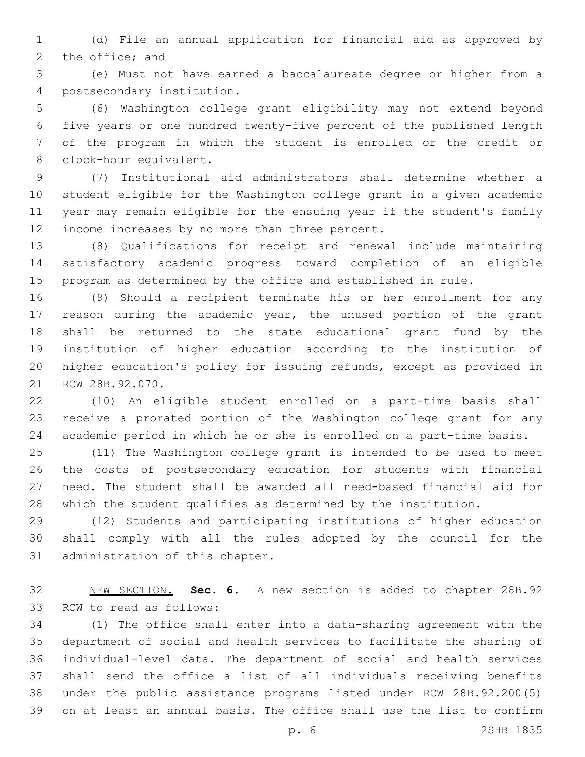(d) File an annual application for financial aid as approved by 2 the office; and

 (e) Must not have earned a baccalaureate degree or higher from a postsecondary institution.4

 (6) Washington college grant eligibility may not extend beyond five years or one hundred twenty-five percent of the published length of the program in which the student is enrolled or the credit or 8 clock-hour equivalent.

 (7) Institutional aid administrators shall determine whether a student eligible for the Washington college grant in a given academic year may remain eligible for the ensuing year if the student's family 12 income increases by no more than three percent.

 (8) Qualifications for receipt and renewal include maintaining satisfactory academic progress toward completion of an eligible program as determined by the office and established in rule.

 (9) Should a recipient terminate his or her enrollment for any reason during the academic year, the unused portion of the grant shall be returned to the state educational grant fund by the institution of higher education according to the institution of higher education's policy for issuing refunds, except as provided in 21 RCW 28B.92.070.

 (10) An eligible student enrolled on a part-time basis shall receive a prorated portion of the Washington college grant for any academic period in which he or she is enrolled on a part-time basis.

 (11) The Washington college grant is intended to be used to meet the costs of postsecondary education for students with financial need. The student shall be awarded all need-based financial aid for which the student qualifies as determined by the institution.

 (12) Students and participating institutions of higher education shall comply with all the rules adopted by the council for the 31 administration of this chapter.

 NEW SECTION. **Sec. 6.** A new section is added to chapter 28B.92 33 RCW to read as follows:

 (1) The office shall enter into a data-sharing agreement with the department of social and health services to facilitate the sharing of individual-level data. The department of social and health services shall send the office a list of all individuals receiving benefits under the public assistance programs listed under RCW 28B.92.200(5) on at least an annual basis. The office shall use the list to confirm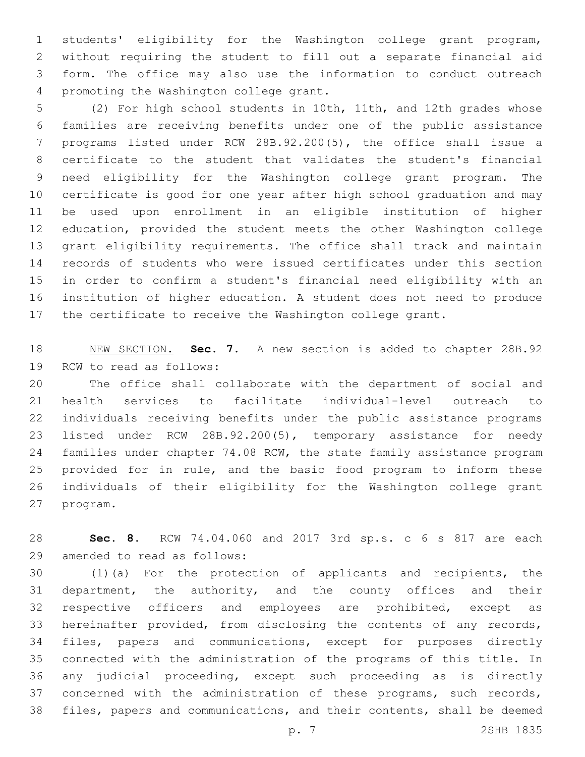students' eligibility for the Washington college grant program, without requiring the student to fill out a separate financial aid form. The office may also use the information to conduct outreach 4 promoting the Washington college grant.

 (2) For high school students in 10th, 11th, and 12th grades whose families are receiving benefits under one of the public assistance programs listed under RCW 28B.92.200(5), the office shall issue a certificate to the student that validates the student's financial need eligibility for the Washington college grant program. The certificate is good for one year after high school graduation and may be used upon enrollment in an eligible institution of higher education, provided the student meets the other Washington college grant eligibility requirements. The office shall track and maintain records of students who were issued certificates under this section in order to confirm a student's financial need eligibility with an institution of higher education. A student does not need to produce the certificate to receive the Washington college grant.

 NEW SECTION. **Sec. 7.** A new section is added to chapter 28B.92 19 RCW to read as follows:

 The office shall collaborate with the department of social and health services to facilitate individual-level outreach to individuals receiving benefits under the public assistance programs listed under RCW 28B.92.200(5), temporary assistance for needy 24 families under chapter 74.08 RCW, the state family assistance program provided for in rule, and the basic food program to inform these individuals of their eligibility for the Washington college grant 27 program.

 **Sec. 8.** RCW 74.04.060 and 2017 3rd sp.s. c 6 s 817 are each 29 amended to read as follows:

 (1)(a) For the protection of applicants and recipients, the department, the authority, and the county offices and their respective officers and employees are prohibited, except as hereinafter provided, from disclosing the contents of any records, files, papers and communications, except for purposes directly connected with the administration of the programs of this title. In any judicial proceeding, except such proceeding as is directly concerned with the administration of these programs, such records, files, papers and communications, and their contents, shall be deemed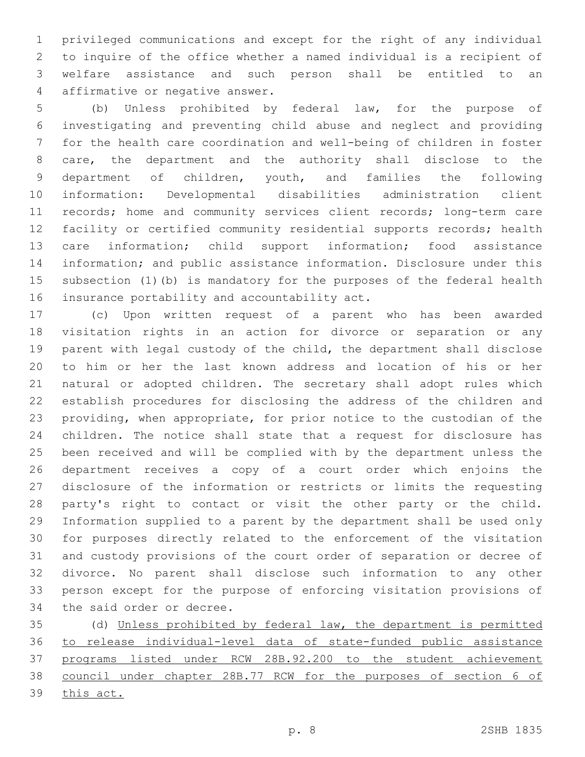privileged communications and except for the right of any individual to inquire of the office whether a named individual is a recipient of welfare assistance and such person shall be entitled to an 4 affirmative or negative answer.

 (b) Unless prohibited by federal law, for the purpose of investigating and preventing child abuse and neglect and providing for the health care coordination and well-being of children in foster care, the department and the authority shall disclose to the department of children, youth, and families the following information: Developmental disabilities administration client records; home and community services client records; long-term care facility or certified community residential supports records; health care information; child support information; food assistance information; and public assistance information. Disclosure under this subsection (1)(b) is mandatory for the purposes of the federal health 16 insurance portability and accountability act.

 (c) Upon written request of a parent who has been awarded visitation rights in an action for divorce or separation or any parent with legal custody of the child, the department shall disclose to him or her the last known address and location of his or her natural or adopted children. The secretary shall adopt rules which establish procedures for disclosing the address of the children and providing, when appropriate, for prior notice to the custodian of the children. The notice shall state that a request for disclosure has been received and will be complied with by the department unless the department receives a copy of a court order which enjoins the disclosure of the information or restricts or limits the requesting party's right to contact or visit the other party or the child. Information supplied to a parent by the department shall be used only for purposes directly related to the enforcement of the visitation and custody provisions of the court order of separation or decree of divorce. No parent shall disclose such information to any other person except for the purpose of enforcing visitation provisions of 34 the said order or decree.

 (d) Unless prohibited by federal law, the department is permitted to release individual-level data of state-funded public assistance programs listed under RCW 28B.92.200 to the student achievement council under chapter 28B.77 RCW for the purposes of section 6 of this act.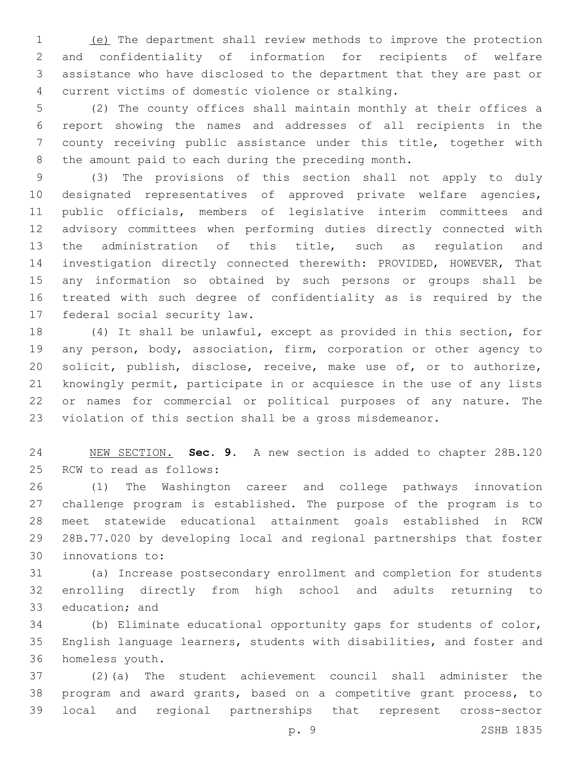(e) The department shall review methods to improve the protection and confidentiality of information for recipients of welfare assistance who have disclosed to the department that they are past or current victims of domestic violence or stalking.4

 (2) The county offices shall maintain monthly at their offices a report showing the names and addresses of all recipients in the county receiving public assistance under this title, together with the amount paid to each during the preceding month.

 (3) The provisions of this section shall not apply to duly designated representatives of approved private welfare agencies, public officials, members of legislative interim committees and advisory committees when performing duties directly connected with the administration of this title, such as regulation and investigation directly connected therewith: PROVIDED, HOWEVER, That any information so obtained by such persons or groups shall be treated with such degree of confidentiality as is required by the 17 federal social security law.

 (4) It shall be unlawful, except as provided in this section, for any person, body, association, firm, corporation or other agency to solicit, publish, disclose, receive, make use of, or to authorize, knowingly permit, participate in or acquiesce in the use of any lists or names for commercial or political purposes of any nature. The violation of this section shall be a gross misdemeanor.

 NEW SECTION. **Sec. 9.** A new section is added to chapter 28B.120 25 RCW to read as follows:

 (1) The Washington career and college pathways innovation challenge program is established. The purpose of the program is to meet statewide educational attainment goals established in RCW 28B.77.020 by developing local and regional partnerships that foster 30 innovations to:

 (a) Increase postsecondary enrollment and completion for students enrolling directly from high school and adults returning to 33 education; and

 (b) Eliminate educational opportunity gaps for students of color, English language learners, students with disabilities, and foster and 36 homeless youth.

 (2)(a) The student achievement council shall administer the program and award grants, based on a competitive grant process, to local and regional partnerships that represent cross-sector

p. 9 2SHB 1835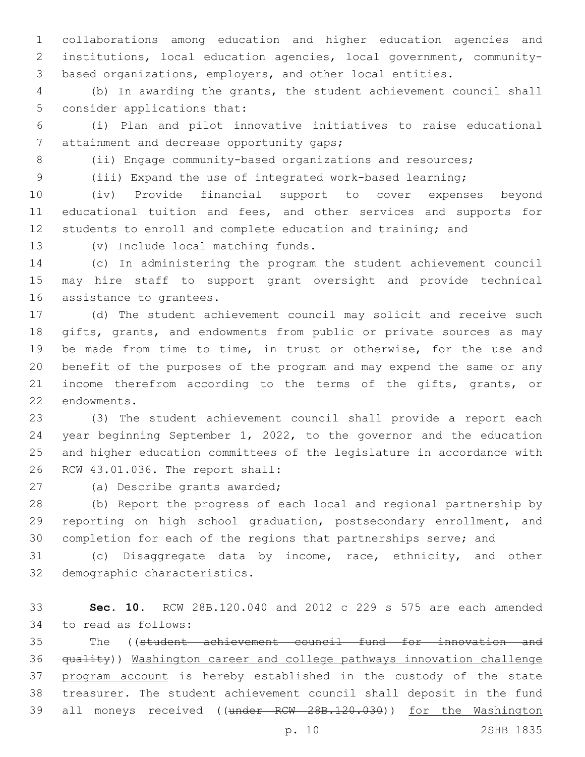collaborations among education and higher education agencies and institutions, local education agencies, local government, community-based organizations, employers, and other local entities.

 (b) In awarding the grants, the student achievement council shall 5 consider applications that:

 (i) Plan and pilot innovative initiatives to raise educational 7 attainment and decrease opportunity gaps;

8 (ii) Engage community-based organizations and resources;

(iii) Expand the use of integrated work-based learning;

(iv) Provide financial support to cover expenses beyond

 educational tuition and fees, and other services and supports for students to enroll and complete education and training; and

13 (v) Include local matching funds.

 (c) In administering the program the student achievement council may hire staff to support grant oversight and provide technical 16 assistance to grantees.

 (d) The student achievement council may solicit and receive such gifts, grants, and endowments from public or private sources as may be made from time to time, in trust or otherwise, for the use and benefit of the purposes of the program and may expend the same or any income therefrom according to the terms of the gifts, grants, or 22 endowments.

 (3) The student achievement council shall provide a report each year beginning September 1, 2022, to the governor and the education and higher education committees of the legislature in accordance with 26 RCW 43.01.036. The report shall:

27 (a) Describe grants awarded;

 (b) Report the progress of each local and regional partnership by reporting on high school graduation, postsecondary enrollment, and completion for each of the regions that partnerships serve; and

 (c) Disaggregate data by income, race, ethnicity, and other 32 demographic characteristics.

 **Sec. 10.** RCW 28B.120.040 and 2012 c 229 s 575 are each amended 34 to read as follows:

 The ((student achievement council fund for innovation and quality)) Washington career and college pathways innovation challenge 37 program account is hereby established in the custody of the state treasurer. The student achievement council shall deposit in the fund 39 all moneys received ((under RCW 28B.120.030)) for the Washington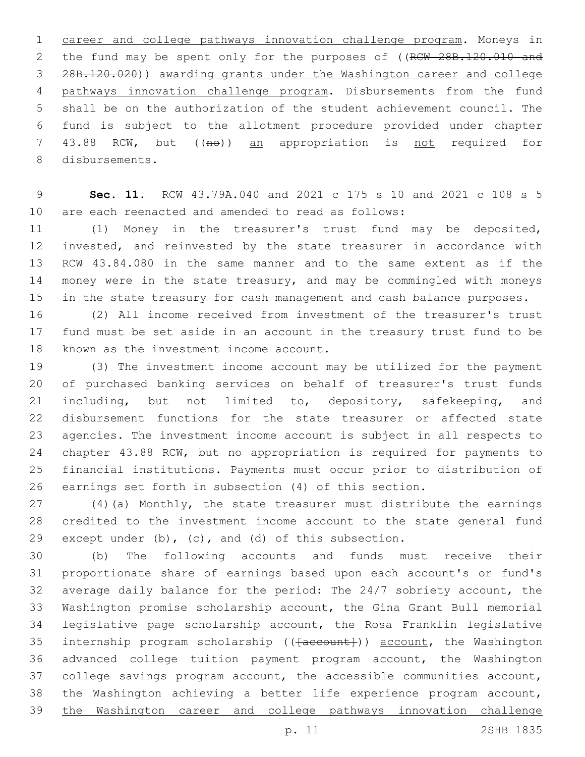career and college pathways innovation challenge program. Moneys in 2 the fund may be spent only for the purposes of ((RCW 28B.120.010 and 28B.120.020)) awarding grants under the Washington career and college pathways innovation challenge program. Disbursements from the fund shall be on the authorization of the student achievement council. The fund is subject to the allotment procedure provided under chapter 7 43.88 RCW, but ((no)) an appropriation is not required for 8 disbursements.

 **Sec. 11.** RCW 43.79A.040 and 2021 c 175 s 10 and 2021 c 108 s 5 are each reenacted and amended to read as follows:

 (1) Money in the treasurer's trust fund may be deposited, invested, and reinvested by the state treasurer in accordance with RCW 43.84.080 in the same manner and to the same extent as if the money were in the state treasury, and may be commingled with moneys in the state treasury for cash management and cash balance purposes.

 (2) All income received from investment of the treasurer's trust fund must be set aside in an account in the treasury trust fund to be 18 known as the investment income account.

 (3) The investment income account may be utilized for the payment of purchased banking services on behalf of treasurer's trust funds including, but not limited to, depository, safekeeping, and disbursement functions for the state treasurer or affected state agencies. The investment income account is subject in all respects to chapter 43.88 RCW, but no appropriation is required for payments to financial institutions. Payments must occur prior to distribution of earnings set forth in subsection (4) of this section.

 (4)(a) Monthly, the state treasurer must distribute the earnings credited to the investment income account to the state general fund 29 except under  $(b)$ ,  $(c)$ , and  $(d)$  of this subsection.

 (b) The following accounts and funds must receive their proportionate share of earnings based upon each account's or fund's average daily balance for the period: The 24/7 sobriety account, the Washington promise scholarship account, the Gina Grant Bull memorial legislative page scholarship account, the Rosa Franklin legislative 35 internship program scholarship (( $\{a$ ccount)) account, the Washington advanced college tuition payment program account, the Washington college savings program account, the accessible communities account, the Washington achieving a better life experience program account, the Washington career and college pathways innovation challenge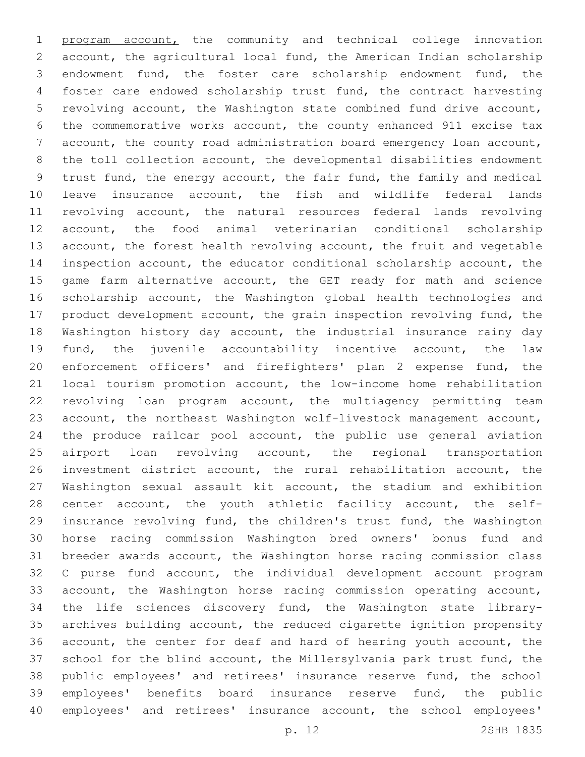program account, the community and technical college innovation account, the agricultural local fund, the American Indian scholarship endowment fund, the foster care scholarship endowment fund, the foster care endowed scholarship trust fund, the contract harvesting revolving account, the Washington state combined fund drive account, the commemorative works account, the county enhanced 911 excise tax account, the county road administration board emergency loan account, the toll collection account, the developmental disabilities endowment trust fund, the energy account, the fair fund, the family and medical leave insurance account, the fish and wildlife federal lands revolving account, the natural resources federal lands revolving account, the food animal veterinarian conditional scholarship account, the forest health revolving account, the fruit and vegetable inspection account, the educator conditional scholarship account, the 15 game farm alternative account, the GET ready for math and science scholarship account, the Washington global health technologies and product development account, the grain inspection revolving fund, the Washington history day account, the industrial insurance rainy day fund, the juvenile accountability incentive account, the law enforcement officers' and firefighters' plan 2 expense fund, the local tourism promotion account, the low-income home rehabilitation revolving loan program account, the multiagency permitting team account, the northeast Washington wolf-livestock management account, the produce railcar pool account, the public use general aviation 25 airport loan revolving account, the regional transportation investment district account, the rural rehabilitation account, the Washington sexual assault kit account, the stadium and exhibition center account, the youth athletic facility account, the self- insurance revolving fund, the children's trust fund, the Washington horse racing commission Washington bred owners' bonus fund and breeder awards account, the Washington horse racing commission class C purse fund account, the individual development account program account, the Washington horse racing commission operating account, the life sciences discovery fund, the Washington state library- archives building account, the reduced cigarette ignition propensity account, the center for deaf and hard of hearing youth account, the school for the blind account, the Millersylvania park trust fund, the public employees' and retirees' insurance reserve fund, the school employees' benefits board insurance reserve fund, the public employees' and retirees' insurance account, the school employees'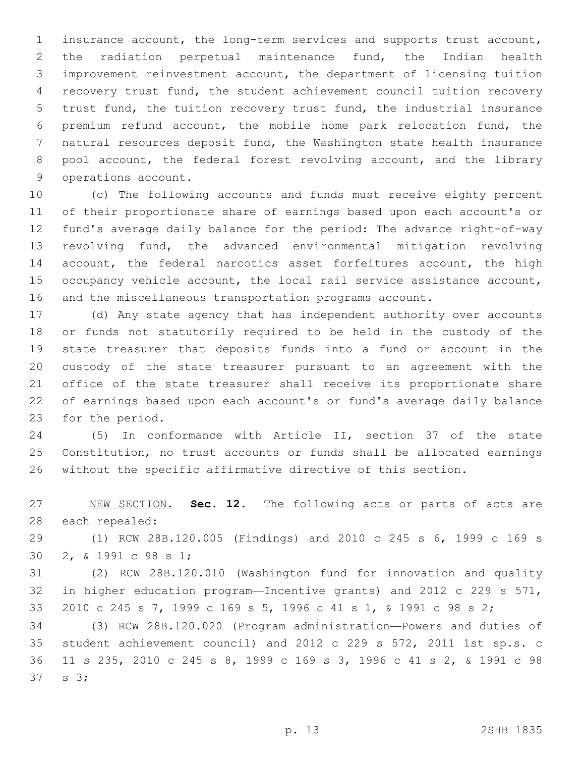insurance account, the long-term services and supports trust account, the radiation perpetual maintenance fund, the Indian health improvement reinvestment account, the department of licensing tuition recovery trust fund, the student achievement council tuition recovery trust fund, the tuition recovery trust fund, the industrial insurance premium refund account, the mobile home park relocation fund, the natural resources deposit fund, the Washington state health insurance 8 pool account, the federal forest revolving account, and the library 9 operations account.

 (c) The following accounts and funds must receive eighty percent of their proportionate share of earnings based upon each account's or fund's average daily balance for the period: The advance right-of-way revolving fund, the advanced environmental mitigation revolving 14 account, the federal narcotics asset forfeitures account, the high occupancy vehicle account, the local rail service assistance account, and the miscellaneous transportation programs account.

 (d) Any state agency that has independent authority over accounts or funds not statutorily required to be held in the custody of the state treasurer that deposits funds into a fund or account in the custody of the state treasurer pursuant to an agreement with the office of the state treasurer shall receive its proportionate share of earnings based upon each account's or fund's average daily balance 23 for the period.

 (5) In conformance with Article II, section 37 of the state Constitution, no trust accounts or funds shall be allocated earnings without the specific affirmative directive of this section.

 NEW SECTION. **Sec. 12.** The following acts or parts of acts are each repealed:

 (1) RCW 28B.120.005 (Findings) and 2010 c 245 s 6, 1999 c 169 s 30 2, & 1991 c 98 s 1;

 (2) RCW 28B.120.010 (Washington fund for innovation and quality in higher education program—Incentive grants) and 2012 c 229 s 571, 2010 c 245 s 7, 1999 c 169 s 5, 1996 c 41 s 1, & 1991 c 98 s 2;

 (3) RCW 28B.120.020 (Program administration—Powers and duties of student achievement council) and 2012 c 229 s 572, 2011 1st sp.s. c 11 s 235, 2010 c 245 s 8, 1999 c 169 s 3, 1996 c 41 s 2, & 1991 c 98  $37 \quad s \quad 3;$